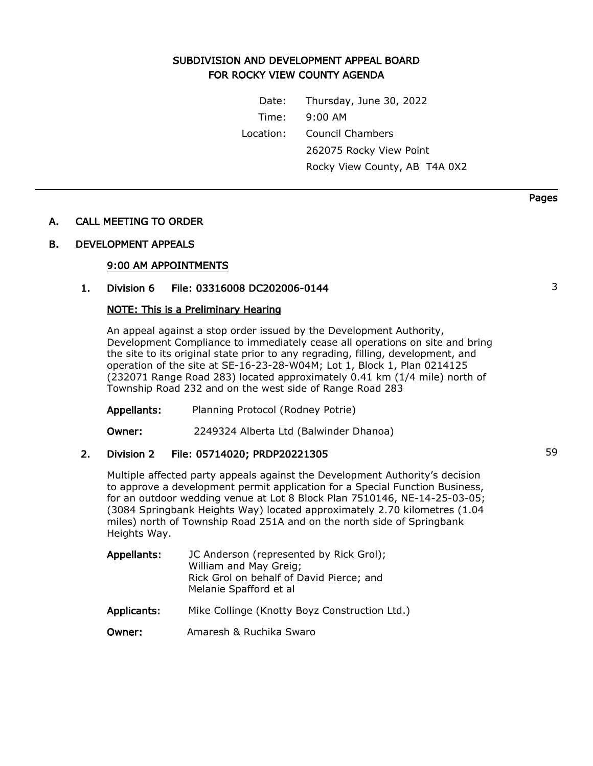# SUBDIVISION AND DEVELOPMENT APPEAL BOARD FOR ROCKY VIEW COUNTY AGENDA

Date: Thursday, June 30, 2022 Time: 9:00 AM Location: Council Chambers 262075 Rocky View Point Rocky View County, AB T4A 0X2

## A. CALL MEETING TO ORDER

### B. DEVELOPMENT APPEALS

### 9:00 AM APPOINTMENTS

# 1. Division 6 File: 03316008 DC202006-0144 3

### NOTE: This is a Preliminary Hearing

An appeal against a stop order issued by the Development Authority, Development Compliance to immediately cease all operations on site and bring the site to its original state prior to any regrading, filling, development, and operation of the site at SE-16-23-28-W04M; Lot 1, Block 1, Plan 0214125 (232071 Range Road 283) located approximately 0.41 km (1/4 mile) north of Township Road 232 and on the west side of Range Road 283

Appellants: Planning Protocol (Rodney Potrie)

Owner: 2249324 Alberta Ltd (Balwinder Dhanoa)

## 2. Division 2 File: 05714020; PRDP20221305 59

Multiple affected party appeals against the Development Authority's decision to approve a development permit application for a Special Function Business, for an outdoor wedding venue at Lot 8 Block Plan 7510146, NE-14-25-03-05; (3084 Springbank Heights Way) located approximately 2.70 kilometres (1.04 miles) north of Township Road 251A and on the north side of Springbank Heights Way.

| Appellants: | JC Anderson (represented by Rick Grol);<br>William and May Greig;<br>Rick Grol on behalf of David Pierce; and<br>Melanie Spafford et al |
|-------------|-----------------------------------------------------------------------------------------------------------------------------------------|
| Applicants: | Mike Collinge (Knotty Boyz Construction Ltd.)                                                                                           |
| Owner:      | Amaresh & Ruchika Swaro                                                                                                                 |

Pages